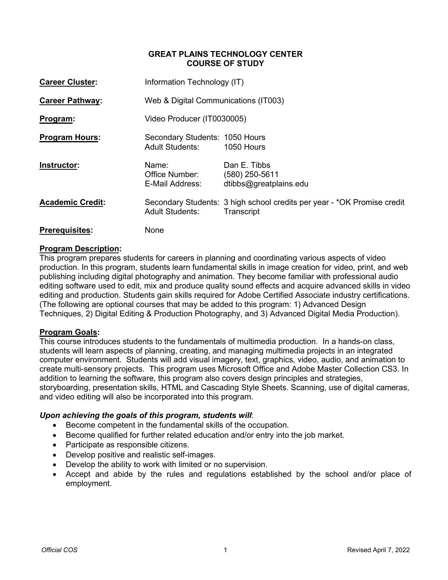#### **GREAT PLAINS TECHNOLOGY CENTER COURSE OF STUDY**

| <b>Career Cluster:</b>  | Information Technology (IT)                              |                                                                                       |  |  |
|-------------------------|----------------------------------------------------------|---------------------------------------------------------------------------------------|--|--|
| <b>Career Pathway:</b>  | Web & Digital Communications (IT003)                     |                                                                                       |  |  |
| Program:                | Video Producer (IT0030005)                               |                                                                                       |  |  |
| <b>Program Hours:</b>   | Secondary Students: 1050 Hours<br><b>Adult Students:</b> | 1050 Hours                                                                            |  |  |
| Instructor:             | Name:<br>Office Number:<br>E-Mail Address:               | Dan E. Tibbs<br>(580) 250-5611<br>dtibbs@greatplains.edu                              |  |  |
| <b>Academic Credit:</b> | <b>Adult Students:</b>                                   | Secondary Students: 3 high school credits per year - *OK Promise credit<br>Transcript |  |  |
| <b>Prerequisites:</b>   | None                                                     |                                                                                       |  |  |

#### **Program Description:**

This program prepares students for careers in planning and coordinating various aspects of video production. In this program, students learn fundamental skills in image creation for video, print, and web publishing including digital photography and animation. They become familiar with professional audio editing software used to edit, mix and produce quality sound effects and acquire advanced skills in video editing and production. Students gain skills required for Adobe Certified Associate industry certifications. (The following are optional courses that may be added to this program: 1) Advanced Design Techniques, 2) Digital Editing & Production Photography, and 3) Advanced Digital Media Production).

#### **Program Goals:**

This course introduces students to the fundamentals of multimedia production. In a hands-on class, students will learn aspects of planning, creating, and managing multimedia projects in an integrated computer environment. Students will add visual imagery, text, graphics, video, audio, and animation to create multi-sensory projects. This program uses Microsoft Office and Adobe Master Collection CS3. In addition to learning the software, this program also covers design principles and strategies, storyboarding, presentation skills, HTML and Cascading Style Sheets. Scanning, use of digital cameras, and video editing will also be incorporated into this program.

## *Upon achieving the goals of this program, students will*:

- Become competent in the fundamental skills of the occupation.
- Become qualified for further related education and/or entry into the job market.
- Participate as responsible citizens.
- Develop positive and realistic self-images.
- Develop the ability to work with limited or no supervision.
- Accept and abide by the rules and regulations established by the school and/or place of employment.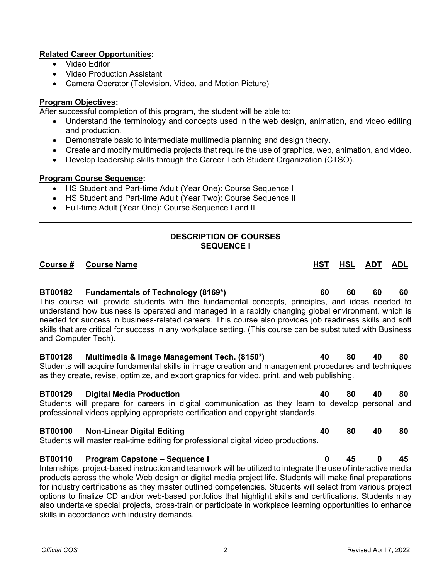## **Related Career Opportunities:**

- Video Editor
- Video Production Assistant
- Camera Operator (Television, Video, and Motion Picture)

## **Program Objectives:**

After successful completion of this program, the student will be able to:

- Understand the terminology and concepts used in the web design, animation, and video editing and production.
- Demonstrate basic to intermediate multimedia planning and design theory.
- Create and modify multimedia projects that require the use of graphics, web, animation, and video.
- Develop leadership skills through the Career Tech Student Organization (CTSO).

## **Program Course Sequence:**

- HS Student and Part-time Adult (Year One): Course Sequence I
- HS Student and Part-time Adult (Year Two): Course Sequence II
- Full-time Adult (Year One): Course Sequence I and II

# **DESCRIPTION OF COURSES SEQUENCE I**

# **Course # Course Name HST HSL ADT ADL BT00182 Fundamentals of Technology (8169\*) 60 60 60 60** This course will provide students with the fundamental concepts, principles, and ideas needed to understand how business is operated and managed in a rapidly changing global environment, which is needed for success in business-related careers. This course also provides job readiness skills and soft skills that are critical for success in any workplace setting. (This course can be substituted with Business and Computer Tech). **BT00128 Multimedia & Image Management Tech. (8150\*) 40 80 40 80** Students will acquire fundamental skills in image creation and management procedures and techniques as they create, revise, optimize, and export graphics for video, print, and web publishing. **BT00129 Digital Media Production 40 80 40 80** Students will prepare for careers in digital communication as they learn to develop personal and professional videos applying appropriate certification and copyright standards.

#### **BT00100 Non-Linear Digital Editing 40 80 40 80** Students will master real-time editing for professional digital video productions.

# **BT00110 Program Capstone – Sequence I 0 45 0 45**

Internships, project-based instruction and teamwork will be utilized to integrate the use of interactive media products across the whole Web design or digital media project life. Students will make final preparations for industry certifications as they master outlined competencies. Students will select from various project options to finalize CD and/or web-based portfolios that highlight skills and certifications. Students may also undertake special projects, cross-train or participate in workplace learning opportunities to enhance skills in accordance with industry demands.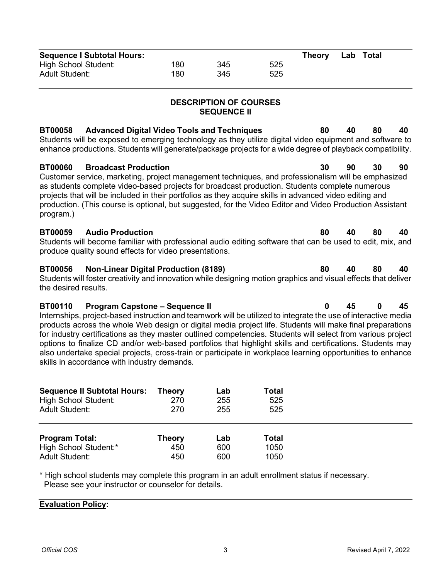| <b>Sequence I Subtotal Hours:</b> |     |     |     | Theory | Lab Total |  |
|-----------------------------------|-----|-----|-----|--------|-----------|--|
| High School Student:              | 180 | 345 | 525 |        |           |  |
| Adult Student:                    | 180 | 345 | 525 |        |           |  |

## **DESCRIPTION OF COURSES SEQUENCE II**

**BT00058 Advanced Digital Video Tools and Techniques 80 40 80 40** Students will be exposed to emerging technology as they utilize digital video equipment and software to enhance productions. Students will generate/package projects for a wide degree of playback compatibility.

#### **BT00060 Broadcast Production 30 90 30 90** Customer service, marketing, project management techniques, and professionalism will be emphasized as students complete video-based projects for broadcast production. Students complete numerous projects that will be included in their portfolios as they acquire skills in advanced video editing and production. (This course is optional, but suggested, for the Video Editor and Video Production Assistant program.)

## **BT00059 Audio Production 80 40 80 40**

Students will become familiar with professional audio editing software that can be used to edit, mix, and produce quality sound effects for video presentations.

# **BT00056 Non-Linear Digital Production (8189) 80 40 80 40**

Students will foster creativity and innovation while designing motion graphics and visual effects that deliver the desired results.

## **BT00110 Program Capstone – Sequence II 0 45 0 45**

Internships, project-based instruction and teamwork will be utilized to integrate the use of interactive media products across the whole Web design or digital media project life. Students will make final preparations for industry certifications as they master outlined competencies. Students will select from various project options to finalize CD and/or web-based portfolios that highlight skills and certifications. Students may also undertake special projects, cross-train or participate in workplace learning opportunities to enhance skills in accordance with industry demands.

| <b>Sequence II Subtotal Hours:</b> | Theory        | Lab | Total |
|------------------------------------|---------------|-----|-------|
| <b>High School Student:</b>        | 270           | 255 | 525   |
| <b>Adult Student:</b>              | 270           | 255 | 525   |
| <b>Program Total:</b>              | <b>Theory</b> | Lab | Total |
| High School Student:*              | 450           | 600 | 1050  |
| <b>Adult Student:</b>              | 450           | 600 | 1050  |

\* High school students may complete this program in an adult enrollment status if necessary. Please see your instructor or counselor for details.

#### **Evaluation Policy:**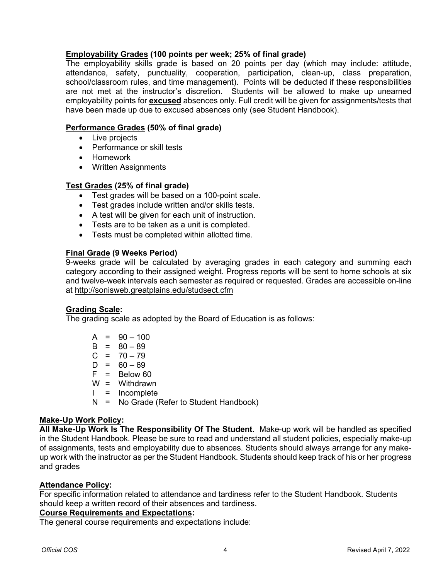## **Employability Grades (100 points per week; 25% of final grade)**

The employability skills grade is based on 20 points per day (which may include: attitude, attendance, safety, punctuality, cooperation, participation, clean-up, class preparation, school/classroom rules, and time management). Points will be deducted if these responsibilities are not met at the instructor's discretion. Students will be allowed to make up unearned employability points for **excused** absences only. Full credit will be given for assignments/tests that have been made up due to excused absences only (see Student Handbook).

## **Performance Grades (50% of final grade)**

- Live projects
- Performance or skill tests
- Homework
- Written Assignments

## **Test Grades (25% of final grade)**

- Test grades will be based on a 100-point scale.
- Test grades include written and/or skills tests.
- A test will be given for each unit of instruction.
- Tests are to be taken as a unit is completed.
- Tests must be completed within allotted time.

## **Final Grade (9 Weeks Period)**

9-weeks grade will be calculated by averaging grades in each category and summing each category according to their assigned weight. Progress reports will be sent to home schools at six and twelve-week intervals each semester as required or requested. Grades are accessible on-line at<http://sonisweb.greatplains.edu/studsect.cfm>

## **Grading Scale:**

The grading scale as adopted by the Board of Education is as follows:

|   | $A = 90 - 100$                         |
|---|----------------------------------------|
|   | $B = 80 - 89$                          |
|   | $C = 70 - 79$                          |
|   | $D = 60 - 69$                          |
|   | $F = Below 60$                         |
|   | $W = Withdrawn$                        |
|   | $I = Incomplete$                       |
| N | = No Grade (Refer to Student Handbook) |

## **Make-Up Work Policy:**

**All Make-Up Work Is The Responsibility Of The Student.** Make-up work will be handled as specified in the Student Handbook. Please be sure to read and understand all student policies, especially make-up of assignments, tests and employability due to absences. Students should always arrange for any makeup work with the instructor as per the Student Handbook. Students should keep track of his or her progress and grades

## **Attendance Policy:**

For specific information related to attendance and tardiness refer to the Student Handbook. Students should keep a written record of their absences and tardiness.

#### **Course Requirements and Expectations:**

The general course requirements and expectations include: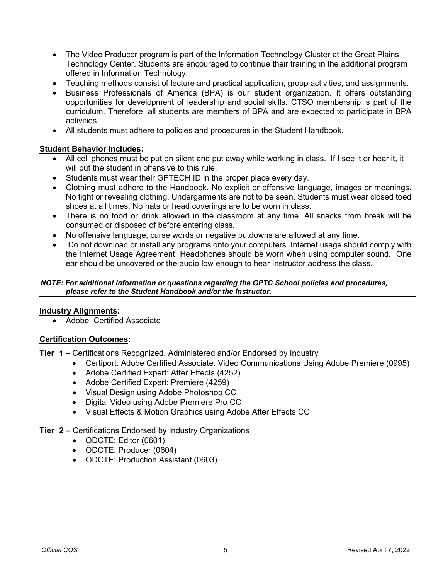- The Video Producer program is part of the Information Technology Cluster at the Great Plains Technology Center. Students are encouraged to continue their training in the additional program offered in Information Technology.
- Teaching methods consist of lecture and practical application, group activities, and assignments.
- Business Professionals of America (BPA) is our student organization. It offers outstanding opportunities for development of leadership and social skills. CTSO membership is part of the curriculum. Therefore, all students are members of BPA and are expected to participate in BPA activities.
- All students must adhere to policies and procedures in the Student Handbook.

#### **Student Behavior Includes:**

- All cell phones must be put on silent and put away while working in class. If I see it or hear it, it will put the student in offensive to this rule.
- Students must wear their GPTECH ID in the proper place every day.
- Clothing must adhere to the Handbook. No explicit or offensive language, images or meanings. No tight or revealing clothing. Undergarments are not to be seen. Students must wear closed toed shoes at all times. No hats or head coverings are to be worn in class.
- There is no food or drink allowed in the classroom at any time. All snacks from break will be consumed or disposed of before entering class.
- No offensive language, curse words or negative putdowns are allowed at any time.
- Do not download or install any programs onto your computers. Internet usage should comply with the Internet Usage Agreement. Headphones should be worn when using computer sound. One ear should be uncovered or the audio low enough to hear Instructor address the class.

*NOTE: For additional information or questions regarding the GPTC School policies and procedures, please refer to the Student Handbook and/or the Instructor.*

#### **Industry Alignments:**

• Adobe Certified Associate

#### **Certification Outcomes:**

**Tier 1** – Certifications Recognized, Administered and/or Endorsed by Industry

- Certiport: Adobe Certified Associate: Video Communications Using Adobe Premiere (0995)
- Adobe Certified Expert: After Effects (4252)
- Adobe Certified Expert: Premiere (4259)
- Visual Design using Adobe Photoshop CC
- Digital Video using Adobe Premiere Pro CC
- Visual Effects & Motion Graphics using Adobe After Effects CC

#### **Tier 2** – Certifications Endorsed by Industry Organizations

- ODCTE: Editor (0601)
- ODCTE: Producer (0604)
- ODCTE: Production Assistant (0603)